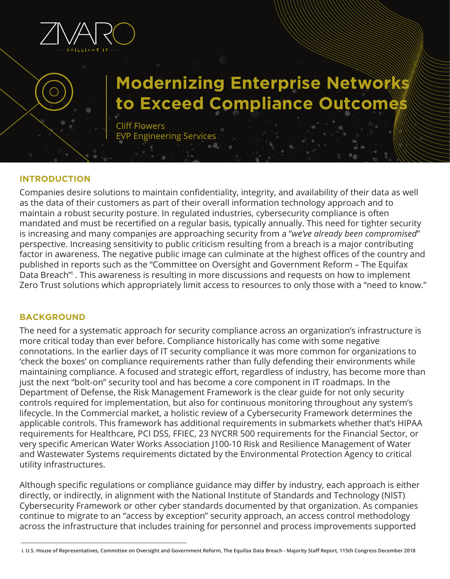

# **Modernizing Enterprise Network to Exceed Compliance Outcome**

Cliff Flowers EVP Engineering Services

#### **INTRODUCTION**

Companies desire solutions to maintain confidentiality, integrity, and availability of their data as well as the data of their customers as part of their overall information technology approach and to maintain a robust security posture. In regulated industries, cybersecurity compliance is often mandated and must be recertified on a regular basis, typically annually. This need for tighter security is increasing and many companies are approaching security from a "*we've already been compromised*" 1 perspective. Increasing sensitivity to public criticism resulting from a breach is a major contributing factor in awareness. The negative public image can culminate at the highest offices of the country and published in reports such as the "Committee on Oversight and Government Reform – The Equifax Data Breach<sup>''</sup>. This awareness is resulting in more discussions and requests on how to implement Zero Trust solutions which appropriately limit access to resources to only those with a "need to know."

## **BACKGROUND**

The need for a systematic approach for security compliance across an organization's infrastructure is more critical today than ever before. Compliance historically has come with some negative connotations. In the earlier days of IT security compliance it was more common for organizations to 'check the boxes' on compliance requirements rather than fully defending their environments while maintaining compliance. A focused and strategic effort, regardless of industry, has become more than just the next "bolt-on" security tool and has become a core component in IT roadmaps. In the Department of Defense, the Risk Management Framework is the clear guide for not only security controls required for implementation, but also for continuous monitoring throughout any system's lifecycle. In the Commercial market, a holistic review of a Cybersecurity Framework determines the applicable controls. This framework has additional requirements in submarkets whether that's HIPAA requirements for Healthcare, PCI DSS, FFIEC, 23 NYCRR 500 requirements for the Financial Sector, or very specific American Water Works Association J100-10 Risk and Resilience Management of Water and Wastewater Systems requirements dictated by the Environmental Protection Agency to critical utility infrastructures.

Although specific regulations or compliance guidance may differ by industry, each approach is either directly, or indirectly, in alignment with the National Institute of Standards and Technology (NIST) Cybersecurity Framework or other cyber standards documented by that organization. As companies continue to migrate to an "access by exception" security approach, an access control methodology across the infrastructure that includes training for personnel and process improvements supported

**i. U.S. House of Representatives, Committee on Oversight and Government Reform, The Equifax Data Breach - Majority Staff Report, 115th Congress December 2018**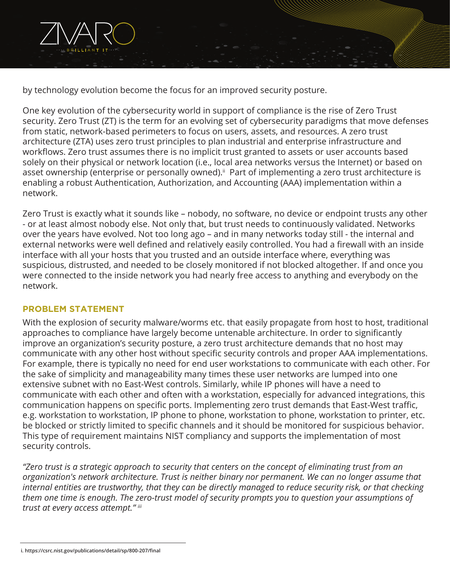by technology evolution become the focus for an improved security posture.

One key evolution of the cybersecurity world in support of compliance is the rise of Zero Trust security. Zero Trust (ZT) is the term for an evolving set of cybersecurity paradigms that move defenses from static, network-based perimeters to focus on users, assets, and resources. A zero trust architecture (ZTA) uses zero trust principles to plan industrial and enterprise infrastructure and workflows. Zero trust assumes there is no implicit trust granted to assets or user accounts based solely on their physical or network location (i.e., local area networks versus the Internet) or based on asset ownership (enterprise or personally owned).<sup>ii</sup> Part of implementing a zero trust architecture is enabling a robust Authentication, Authorization, and Accounting (AAA) implementation within a network.

Zero Trust is exactly what it sounds like – nobody, no software, no device or endpoint trusts any other - or at least almost nobody else. Not only that, but trust needs to continuously validated. Networks over the years have evolved. Not too long ago – and in many networks today still - the internal and external networks were well defined and relatively easily controlled. You had a firewall with an inside interface with all your hosts that you trusted and an outside interface where, everything was suspicious, distrusted, and needed to be closely monitored if not blocked altogether. If and once you were connected to the inside network you had nearly free access to anything and everybody on the network.

## **PROBLEM STATEMENT**

With the explosion of security malware/worms etc. that easily propagate from host to host, traditional approaches to compliance have largely become untenable architecture. In order to significantly improve an organization's security posture, a zero trust architecture demands that no host may communicate with any other host without specific security controls and proper AAA implementations. For example, there is typically no need for end user workstations to communicate with each other. For the sake of simplicity and manageability many times these user networks are lumped into one extensive subnet with no East-West controls. Similarly, while IP phones will have a need to communicate with each other and often with a workstation, especially for advanced integrations, this communication happens on specific ports. Implementing zero trust demands that East-West traffic, e.g. workstation to workstation, IP phone to phone, workstation to phone, workstation to printer, etc. be blocked or strictly limited to specific channels and it should be monitored for suspicious behavior. This type of requirement maintains NIST compliancy and supports the implementation of most security controls.

*"Zero trust is a strategic approach to security that centers on the concept of eliminating trust from an organization's network architecture. Trust is neither binary nor permanent. We can no longer assume that internal entities are trustworthy, that they can be directly managed to reduce security risk, or that checking them one time is enough. The zero-trust model of security prompts you to question your assumptions of trust at every access attempt." iii*

**i. https://csrc.nist.gov/publications/detail/sp/800-207/final**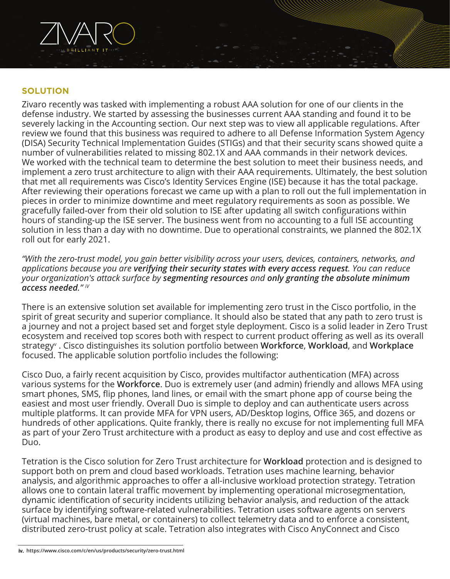

#### **SOLUTION**

Zivaro recently was tasked with implementing a robust AAA solution for one of our clients in the defense industry. We started by assessing the businesses current AAA standing and found it to be severely lacking in the Accounting section. Our next step was to view all applicable regulations. After review we found that this business was required to adhere to all Defense Information System Agency (DISA) Security Technical Implementation Guides (STIGs) and that their security scans showed quite a number of vulnerabilities related to missing 802.1X and AAA commands in their network devices. We worked with the technical team to determine the best solution to meet their business needs, and implement a zero trust architecture to align with their AAA requirements. Ultimately, the best solution that met all requirements was Cisco's Identity Services Engine (ISE) because it has the total package. After reviewing their operations forecast we came up with a plan to roll out the full implementation in pieces in order to minimize downtime and meet regulatory requirements as soon as possible. We gracefully failed-over from their old solution to ISE after updating all switch configurations within hours of standing-up the ISE server. The business went from no accounting to a full ISE accounting solution in less than a day with no downtime. Due to operational constraints, we planned the 802.1X roll out for early 2021.

*"With the zero-trust model, you gain better visibility across your users, devices, containers, networks, and applications because you are verifying their security states with every access request. You can reduce your organization's attack surface by segmenting resources and only granting the absolute minimum access needed." iV*

There is an extensive solution set available for implementing zero trust in the Cisco portfolio, in the spirit of great security and superior compliance. It should also be stated that any path to zero trust is a journey and not a project based set and forget style deployment. Cisco is a solid leader in Zero Trust ecosystem and received top scores both with respect to current product offering as well as its overall strategyv . Cisco distinguishes its solution portfolio between **Workforce**, **Workload**, and **Workplace**  focused. The applicable solution portfolio includes the following:

Cisco Duo, a fairly recent acquisition by Cisco, provides multifactor authentication (MFA) across various systems for the **Workforce**. Duo is extremely user (and admin) friendly and allows MFA using smart phones, SMS, flip phones, land lines, or email with the smart phone app of course being the easiest and most user friendly. Overall Duo is simple to deploy and can authenticate users across multiple platforms. It can provide MFA for VPN users, AD/Desktop logins, Office 365, and dozens or hundreds of other applications. Quite frankly, there is really no excuse for not implementing full MFA as part of your Zero Trust architecture with a product as easy to deploy and use and cost effective as Duo.

Tetration is the Cisco solution for Zero Trust architecture for **Workload** protection and is designed to support both on prem and cloud based workloads. Tetration uses machine learning, behavior analysis, and algorithmic approaches to offer a all-inclusive workload protection strategy. Tetration allows one to contain lateral traffic movement by implementing operational microsegmentation, dynamic identification of security incidents utilizing behavior analysis, and reduction of the attack surface by identifying software-related vulnerabilities. Tetration uses software agents on servers (virtual machines, bare metal, or containers) to collect telemetry data and to enforce a consistent, distributed zero-trust policy at scale. Tetration also integrates with Cisco AnyConnect and Cisco

**iv. https://www.cisco.com/c/en/us/products/security/zero-trust.html**